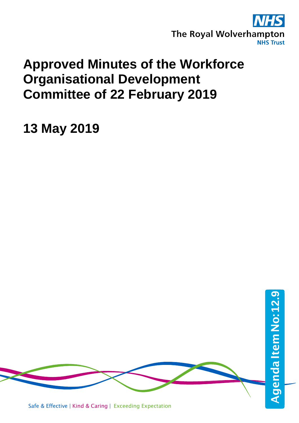

## **Approved Minutes of the Workforce Organisational Development Committee of 22 February 2019**

**13 May 2019**

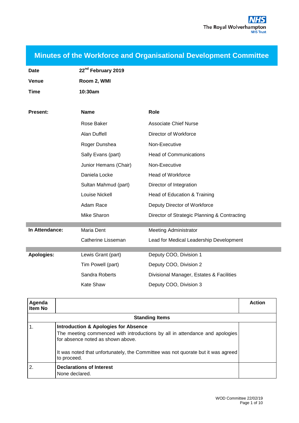**Minutes of the Workforce and Organisational Development Committee**

| <b>Date</b>       | 22 <sup>nd</sup> February 2019 |                                              |
|-------------------|--------------------------------|----------------------------------------------|
| <b>Venue</b>      | Room 2, WMI                    |                                              |
| <b>Time</b>       | 10:30am                        |                                              |
|                   |                                |                                              |
| <b>Present:</b>   | <b>Name</b>                    | Role                                         |
|                   | Rose Baker                     | <b>Associate Chief Nurse</b>                 |
|                   | <b>Alan Duffell</b>            | Director of Workforce                        |
|                   | Roger Dunshea                  | Non-Executive                                |
|                   | Sally Evans (part)             | <b>Head of Communications</b>                |
|                   | Junior Hemans (Chair)          | Non-Executive                                |
|                   | Daniela Locke                  | <b>Head of Workforce</b>                     |
|                   | Sultan Mahmud (part)           | Director of Integration                      |
|                   | Louise Nickell                 | Head of Education & Training                 |
|                   | Adam Race                      | Deputy Director of Workforce                 |
|                   | Mike Sharon                    | Director of Strategic Planning & Contracting |
| In Attendance:    | Maria Dent                     | <b>Meeting Administrator</b>                 |
|                   | <b>Catherine Lisseman</b>      | Lead for Medical Leadership Development      |
| <b>Apologies:</b> | Lewis Grant (part)             | Deputy COO, Division 1                       |
|                   | Tim Powell (part)              | Deputy COO, Division 2                       |
|                   | Sandra Roberts                 | Divisional Manager, Estates & Facilities     |
|                   | <b>Kate Shaw</b>               | Deputy COO, Division 3                       |
|                   |                                |                                              |

| Agenda<br><b>Item No</b> |                                                                                                                                                                                                                                                                        | <b>Action</b> |
|--------------------------|------------------------------------------------------------------------------------------------------------------------------------------------------------------------------------------------------------------------------------------------------------------------|---------------|
|                          | <b>Standing Items</b>                                                                                                                                                                                                                                                  |               |
| $^{\circ}$ 1.            | <b>Introduction &amp; Apologies for Absence</b><br>The meeting commenced with introductions by all in attendance and apologies<br>for absence noted as shown above.<br>It was noted that unfortunately, the Committee was not quorate but it was agreed<br>to proceed. |               |
| $\overline{2}$           | <b>Declarations of Interest</b><br>None declared.                                                                                                                                                                                                                      |               |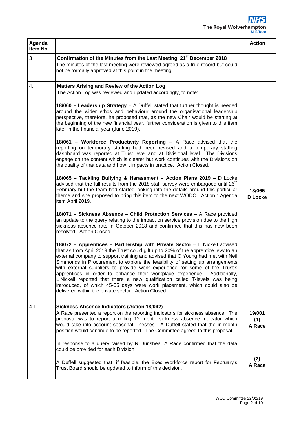## S The Royal Wolverhampton

| Agenda<br>Item No |                                                                                                                                                                                                                                                                                                                                                                                                                                                                                                                                                                                                                                                                                                                                                                                                                                                                                                                                                                                                                                                                                                                                                                                                                                                                                                                                                                                                                                                                                                                                                                                                                                                                                                                                                                                                                                                                                                                                                                                                                                                                                                                                                                                                                                                                                 | <b>Action</b>           |
|-------------------|---------------------------------------------------------------------------------------------------------------------------------------------------------------------------------------------------------------------------------------------------------------------------------------------------------------------------------------------------------------------------------------------------------------------------------------------------------------------------------------------------------------------------------------------------------------------------------------------------------------------------------------------------------------------------------------------------------------------------------------------------------------------------------------------------------------------------------------------------------------------------------------------------------------------------------------------------------------------------------------------------------------------------------------------------------------------------------------------------------------------------------------------------------------------------------------------------------------------------------------------------------------------------------------------------------------------------------------------------------------------------------------------------------------------------------------------------------------------------------------------------------------------------------------------------------------------------------------------------------------------------------------------------------------------------------------------------------------------------------------------------------------------------------------------------------------------------------------------------------------------------------------------------------------------------------------------------------------------------------------------------------------------------------------------------------------------------------------------------------------------------------------------------------------------------------------------------------------------------------------------------------------------------------|-------------------------|
| 3                 | Confirmation of the Minutes from the Last Meeting, 21 <sup>st</sup> December 2018<br>The minutes of the last meeting were reviewed agreed as a true record but could<br>not be formally approved at this point in the meeting.                                                                                                                                                                                                                                                                                                                                                                                                                                                                                                                                                                                                                                                                                                                                                                                                                                                                                                                                                                                                                                                                                                                                                                                                                                                                                                                                                                                                                                                                                                                                                                                                                                                                                                                                                                                                                                                                                                                                                                                                                                                  |                         |
| 4.                | <b>Matters Arising and Review of the Action Log</b><br>The Action Log was reviewed and updated accordingly, to note:<br>18/060 - Leadership Strategy - A Duffell stated that further thought is needed<br>around the wider ethos and behaviour around the organisational leadership<br>perspective, therefore, he proposed that, as the new Chair would be starting at<br>the beginning of the new financial year, further consideration is given to this item<br>later in the financial year (June 2019).<br>18/061 - Workforce Productivity Reporting - A Race advised that the<br>reporting on temporary staffing had been revised and a temporary staffing<br>dashboard was reported at Trust level and at Divisional level. The Divisions<br>engage on the content which is clearer but work continues with the Divisions on<br>the quality of that data and how it impacts in practice. Action Closed.<br>18/065 - Tackling Bullying & Harassment - Action Plans 2019 - D Locke<br>advised that the full results from the 2018 staff survey were embargoed until 26 <sup>th</sup><br>February but the team had started looking into the details around this particular<br>theme and she proposed to bring this item to the next WODC. Action: Agenda<br>item April 2019.<br>18/071 - Sickness Absence - Child Protection Services - A Race provided<br>an update to the query relating to the impact on service provision due to the high<br>sickness absence rate in October 2018 and confirmed that this has now been<br>resolved. Action Closed.<br>18/072 - Apprentices - Partnership with Private Sector - L Nickell advised<br>that as from April 2019 the Trust could gift up to 20% of the apprentice levy to an<br>external company to support training and advised that C Young had met with Neil<br>Simmonds in Procurement to explore the feasibility of setting up arrangements<br>with external suppliers to provide work experience for some of the Trust's<br>apprentices in order to enhance their workplace experience. Additionally,<br>L Nickell reported that there a new qualification called T-levels was being<br>introduced, of which 45-65 days were work placement, which could also be<br>delivered within the private sector. Action Closed. | 18/065<br>D Locke       |
| 4.1               | <b>Sickness Absence Indicators (Action 18/042)</b><br>A Race presented a report on the reporting indicators for sickness absence. The<br>proposal was to report a rolling 12 month sickness absence indicator which<br>would take into account seasonal illnesses. A Duffell stated that the in-month<br>position would continue to be reported. The Committee agreed to this proposal.                                                                                                                                                                                                                                                                                                                                                                                                                                                                                                                                                                                                                                                                                                                                                                                                                                                                                                                                                                                                                                                                                                                                                                                                                                                                                                                                                                                                                                                                                                                                                                                                                                                                                                                                                                                                                                                                                         | 19/001<br>(1)<br>A Race |
|                   | In response to a query raised by R Dunshea, A Race confirmed that the data<br>could be provided for each Division.<br>A Duffell suggested that, if feasible, the Exec Workforce report for February's<br>Trust Board should be updated to inform of this decision.                                                                                                                                                                                                                                                                                                                                                                                                                                                                                                                                                                                                                                                                                                                                                                                                                                                                                                                                                                                                                                                                                                                                                                                                                                                                                                                                                                                                                                                                                                                                                                                                                                                                                                                                                                                                                                                                                                                                                                                                              | (2)<br>A Race           |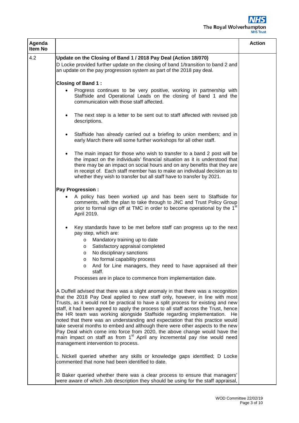## 'S The Royal Wolverhampton

| Agenda<br>Item No |                                                                                                                                                                                                                                                                                                                                                                                                                                                                                                                                                                                                                                                                                                                                                                                                            | <b>Action</b> |
|-------------------|------------------------------------------------------------------------------------------------------------------------------------------------------------------------------------------------------------------------------------------------------------------------------------------------------------------------------------------------------------------------------------------------------------------------------------------------------------------------------------------------------------------------------------------------------------------------------------------------------------------------------------------------------------------------------------------------------------------------------------------------------------------------------------------------------------|---------------|
| 4.2               | Update on the Closing of Band 1 / 2018 Pay Deal (Action 18/070)<br>D Locke provided further update on the closing of band 1/transition to band 2 and<br>an update on the pay progression system as part of the 2018 pay deal.                                                                                                                                                                                                                                                                                                                                                                                                                                                                                                                                                                              |               |
|                   | <b>Closing of Band 1:</b>                                                                                                                                                                                                                                                                                                                                                                                                                                                                                                                                                                                                                                                                                                                                                                                  |               |
|                   | Progress continues to be very positive, working in partnership with<br>Staffside and Operational Leads on the closing of band 1 and the<br>communication with those staff affected.                                                                                                                                                                                                                                                                                                                                                                                                                                                                                                                                                                                                                        |               |
|                   | The next step is a letter to be sent out to staff affected with revised job<br>descriptions.                                                                                                                                                                                                                                                                                                                                                                                                                                                                                                                                                                                                                                                                                                               |               |
|                   | Staffside has already carried out a briefing to union members; and in<br>$\bullet$<br>early March there will some further workshops for all other staff.                                                                                                                                                                                                                                                                                                                                                                                                                                                                                                                                                                                                                                                   |               |
|                   | The main impact for those who wish to transfer to a band 2 post will be<br>the impact on the individuals' financial situation as it is understood that<br>there may be an impact on social hours and on any benefits that they are<br>in receipt of. Each staff member has to make an individual decision as to<br>whether they wish to transfer but all staff have to transfer by 2021.                                                                                                                                                                                                                                                                                                                                                                                                                   |               |
|                   | <b>Pay Progression:</b>                                                                                                                                                                                                                                                                                                                                                                                                                                                                                                                                                                                                                                                                                                                                                                                    |               |
|                   | A policy has been worked up and has been sent to Staffside for<br>comments, with the plan to take through to JNC and Trust Policy Group<br>prior to formal sign off at TMC in order to become operational by the 1 <sup>st</sup><br>April 2019.                                                                                                                                                                                                                                                                                                                                                                                                                                                                                                                                                            |               |
|                   | Key standards have to be met before staff can progress up to the next<br>pay step, which are:                                                                                                                                                                                                                                                                                                                                                                                                                                                                                                                                                                                                                                                                                                              |               |
|                   | Mandatory training up to date<br>$\circ$                                                                                                                                                                                                                                                                                                                                                                                                                                                                                                                                                                                                                                                                                                                                                                   |               |
|                   | Satisfactory appraisal completed<br>$\circ$                                                                                                                                                                                                                                                                                                                                                                                                                                                                                                                                                                                                                                                                                                                                                                |               |
|                   | No disciplinary sanctions<br>$\circ$                                                                                                                                                                                                                                                                                                                                                                                                                                                                                                                                                                                                                                                                                                                                                                       |               |
|                   | No formal capability process<br>O                                                                                                                                                                                                                                                                                                                                                                                                                                                                                                                                                                                                                                                                                                                                                                          |               |
|                   | o And for Line managers, they need to have appraised all their<br>staff.                                                                                                                                                                                                                                                                                                                                                                                                                                                                                                                                                                                                                                                                                                                                   |               |
|                   | Processes are in place to commence from implementation date.                                                                                                                                                                                                                                                                                                                                                                                                                                                                                                                                                                                                                                                                                                                                               |               |
|                   | A Duffell advised that there was a slight anomaly in that there was a recognition<br>that the 2018 Pay Deal applied to new staff only, however, in line with most<br>Trusts, as it would not be practical to have a split process for existing and new<br>staff, it had been agreed to apply the process to all staff across the Trust, hence<br>the HR team was working alongside Staffside regarding implementation. He<br>noted that there was an understanding and expectation that this practice would<br>take several months to embed and although there were other aspects to the new<br>Pay Deal which come into force from 2020, the above change would have the<br>main impact on staff as from 1 <sup>st</sup> April any incremental pay rise would need<br>management intervention to process. |               |
|                   | L Nickell queried whether any skills or knowledge gaps identified; D Locke<br>commented that none had been identified to date.                                                                                                                                                                                                                                                                                                                                                                                                                                                                                                                                                                                                                                                                             |               |
|                   | R Baker queried whether there was a clear process to ensure that managers'<br>were aware of which Job description they should be using for the staff appraisal,                                                                                                                                                                                                                                                                                                                                                                                                                                                                                                                                                                                                                                            |               |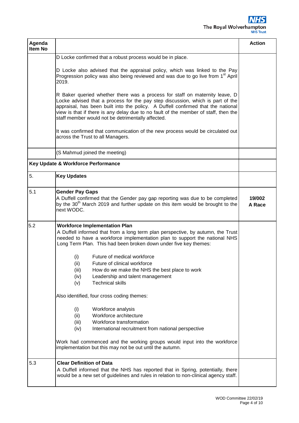

| Agenda<br><b>Item No</b> |                                                                                                                                                                                                                                                                                                                                                                                                                                                                                                                                               | <b>Action</b>    |
|--------------------------|-----------------------------------------------------------------------------------------------------------------------------------------------------------------------------------------------------------------------------------------------------------------------------------------------------------------------------------------------------------------------------------------------------------------------------------------------------------------------------------------------------------------------------------------------|------------------|
|                          | D Locke confirmed that a robust process would be in place.                                                                                                                                                                                                                                                                                                                                                                                                                                                                                    |                  |
|                          | D Locke also advised that the appraisal policy, which was linked to the Pay<br>Progression policy was also being reviewed and was due to go live from 1 <sup>st</sup> April<br>2019.                                                                                                                                                                                                                                                                                                                                                          |                  |
|                          | R Baker queried whether there was a process for staff on maternity leave, D<br>Locke advised that a process for the pay step discussion, which is part of the<br>appraisal, has been built into the policy. A Duffell confirmed that the national<br>view is that if there is any delay due to no fault of the member of staff, then the<br>staff member would not be detrimentally affected.                                                                                                                                                 |                  |
|                          | It was confirmed that communication of the new process would be circulated out<br>across the Trust to all Managers.                                                                                                                                                                                                                                                                                                                                                                                                                           |                  |
|                          | (S Mahmud joined the meeting)                                                                                                                                                                                                                                                                                                                                                                                                                                                                                                                 |                  |
|                          | Key Update & Workforce Performance                                                                                                                                                                                                                                                                                                                                                                                                                                                                                                            |                  |
| 5.                       | <b>Key Updates</b>                                                                                                                                                                                                                                                                                                                                                                                                                                                                                                                            |                  |
| 5.1                      | <b>Gender Pay Gaps</b><br>A Duffell confirmed that the Gender pay gap reporting was due to be completed<br>by the 30 <sup>th</sup> March 2019 and further update on this item would be brought to the<br>next WODC.                                                                                                                                                                                                                                                                                                                           | 19/002<br>A Race |
| 5.2                      | <b>Workforce Implementation Plan</b><br>A Duffell informed that from a long term plan perspective, by autumn, the Trust<br>needed to have a workforce implementation plan to support the national NHS<br>Long Term Plan. This had been broken down under five key themes:<br>Future of medical workforce<br>(i)<br>Future of clinical workforce<br>(ii)<br>(iii)<br>How do we make the NHS the best place to work<br>(iv)<br>Leadership and talent management<br><b>Technical skills</b><br>(v)<br>Also identified, four cross coding themes: |                  |
|                          | Workforce analysis<br>(i)<br>Workforce architecture<br>(ii)<br>Workforce transformation<br>(iii)<br>(iv)<br>International recruitment from national perspective<br>Work had commenced and the working groups would input into the workforce<br>implementation but this may not be out until the autumn.                                                                                                                                                                                                                                       |                  |
| 5.3                      | <b>Clear Definition of Data</b><br>A Duffell informed that the NHS has reported that in Spring, potentially, there<br>would be a new set of guidelines and rules in relation to non-clinical agency staff.                                                                                                                                                                                                                                                                                                                                    |                  |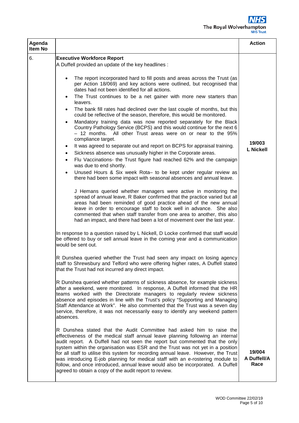

| Agenda<br>Item No |                                                                                                                                                                                                                                                                                                                                                                                                                                                                                                                                                                                                                                               | <b>Action</b>                 |
|-------------------|-----------------------------------------------------------------------------------------------------------------------------------------------------------------------------------------------------------------------------------------------------------------------------------------------------------------------------------------------------------------------------------------------------------------------------------------------------------------------------------------------------------------------------------------------------------------------------------------------------------------------------------------------|-------------------------------|
| 6.                | <b>Executive Workforce Report</b>                                                                                                                                                                                                                                                                                                                                                                                                                                                                                                                                                                                                             |                               |
|                   | A Duffell provided an update of the key headlines :                                                                                                                                                                                                                                                                                                                                                                                                                                                                                                                                                                                           |                               |
|                   | The report incorporated hard to fill posts and areas across the Trust (as<br>$\bullet$<br>per Action 18/069) and key actions were outlined, but recognised that<br>dates had not been identified for all actions.                                                                                                                                                                                                                                                                                                                                                                                                                             |                               |
|                   | The Trust continues to be a net gainer with more new starters than<br>leavers.                                                                                                                                                                                                                                                                                                                                                                                                                                                                                                                                                                |                               |
|                   | The bank fill rates had declined over the last couple of months, but this<br>٠<br>could be reflective of the season, therefore, this would be monitored.                                                                                                                                                                                                                                                                                                                                                                                                                                                                                      |                               |
|                   | Mandatory training data was now reported separately for the Black<br>$\bullet$<br>Country Pathology Service (BCPS) and this would continue for the next 6<br>All other Trust areas were on or near to the 95%<br>– 12 months.<br>compliance target.                                                                                                                                                                                                                                                                                                                                                                                           |                               |
|                   | It was agreed to separate out and report on BCPS for appraisal training.<br>٠<br>Sickness absence was unusually higher in the Corporate areas.<br>$\bullet$                                                                                                                                                                                                                                                                                                                                                                                                                                                                                   | 19/003<br><b>L Nickell</b>    |
|                   | Flu Vaccinations- the Trust figure had reached 62% and the campaign<br>$\bullet$<br>was due to end shortly.                                                                                                                                                                                                                                                                                                                                                                                                                                                                                                                                   |                               |
|                   | Unused Hours & Six week Rota- to be kept under regular review as<br>there had been some impact with seasonal absences and annual leave.                                                                                                                                                                                                                                                                                                                                                                                                                                                                                                       |                               |
|                   | J Hemans queried whether managers were active in monitoring the<br>spread of annual leave, R Baker confirmed that the practice varied but all<br>areas had been reminded of good practice ahead of the new annual<br>leave in order to encourage staff to book well in advance. She also<br>commented that when staff transfer from one area to another, this also<br>had an impact, and there had been a lot of movement over the last year.                                                                                                                                                                                                 |                               |
|                   | In response to a question raised by L Nickell, D Locke confirmed that staff would<br>be offered to buy or sell annual leave in the coming year and a communication<br>would be sent out.                                                                                                                                                                                                                                                                                                                                                                                                                                                      |                               |
|                   | R Dunshea queried whether the Trust had seen any impact on losing agency<br>staff to Shrewsbury and Telford who were offering higher rates, A Duffell stated<br>that the Trust had not incurred any direct impact.                                                                                                                                                                                                                                                                                                                                                                                                                            |                               |
|                   | R Dunshea queried whether patterns of sickness absence, for example sickness<br>after a weekend, were monitored. In response, A Duffell informed that the HR<br>teams worked with the Directorate managers to regularly review sickness<br>absence and episodes in line with the Trust's policy "Supporting and Managing<br>Staff Attendance at Work". He also commented that the Trust was a seven day<br>service, therefore, it was not necessarily easy to identify any weekend pattern<br>absences.                                                                                                                                       |                               |
|                   | R Dunshea stated that the Audit Committee had asked him to raise the<br>effectiveness of the medical staff annual leave planning following an internal<br>audit report. A Duffell had not seen the report but commented that the only<br>system within the organisation was ESR and the Trust was not yet in a position<br>for all staff to utilise this system for recording annual leave. However, the Trust<br>was introducing E-job planning for medical staff with an e-rostering module to<br>follow, and once introduced, annual leave would also be incorporated. A Duffell<br>agreed to obtain a copy of the audit report to review. | 19/004<br>A Duffell/A<br>Race |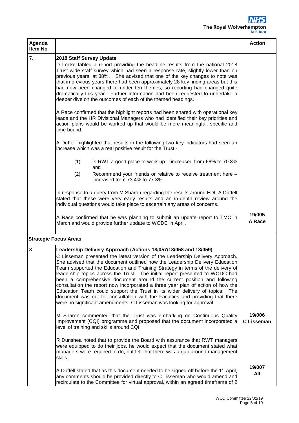

| Agenda<br>Item No |                                                                                                                                                                                                                                                                                                                                                                                                                                                                                                                                                                                                                                                                                                                                                                                                         | <b>Action</b>               |
|-------------------|---------------------------------------------------------------------------------------------------------------------------------------------------------------------------------------------------------------------------------------------------------------------------------------------------------------------------------------------------------------------------------------------------------------------------------------------------------------------------------------------------------------------------------------------------------------------------------------------------------------------------------------------------------------------------------------------------------------------------------------------------------------------------------------------------------|-----------------------------|
| 7.                | 2018 Staff Survey Update<br>D Locke tabled a report providing the headline results from the national 2018<br>Trust wide staff survey which had seen a response rate, slightly lower than on<br>previous years, at 38%. She advised that one of the key changes to note was<br>that in previous years there had been approximately 28 key finding areas but this<br>had now been changed to under ten themes, so reporting had changed quite<br>dramatically this year. Further information had been requested to undertake a<br>deeper dive on the outcomes of each of the themed headings.                                                                                                                                                                                                             |                             |
|                   | A Race confirmed that the highlight reports had been shared with operational key<br>leads and the HR Divisional Managers who had identified their key priorities and<br>action plans would be worked up that would be more meaningful, specific and<br>time bound.                                                                                                                                                                                                                                                                                                                                                                                                                                                                                                                                      |                             |
|                   | A Duffell highlighted that results in the following two key indicators had seen an<br>increase which was a real positive result for the Trust -                                                                                                                                                                                                                                                                                                                                                                                                                                                                                                                                                                                                                                                         |                             |
|                   | (1)<br>Is RWT a good place to work up $-$ increased from 66% to 70.8%<br>and<br>Recommend your friends or relative to receive treatment here -<br>(2)<br>increased from 73.4% to 77.3%                                                                                                                                                                                                                                                                                                                                                                                                                                                                                                                                                                                                                  |                             |
|                   | In response to a query from M Sharon regarding the results around EDI; A Duffell<br>stated that these were very early results and an in-depth review around the<br>individual questions would take place to ascertain any areas of concerns.                                                                                                                                                                                                                                                                                                                                                                                                                                                                                                                                                            |                             |
|                   | A Race confirmed that he was planning to submit an update report to TMC in<br>March and would provide further update to WODC in April.                                                                                                                                                                                                                                                                                                                                                                                                                                                                                                                                                                                                                                                                  | 19/005<br>A Race            |
|                   | <b>Strategic Focus Areas</b>                                                                                                                                                                                                                                                                                                                                                                                                                                                                                                                                                                                                                                                                                                                                                                            |                             |
| 8.                | Leadership Delivery Approach (Actions 18/057/18/058 and 18/059)<br>C Lisseman presented the latest version of the Leadership Delivery Approach.<br>She advised that the document outlined how the Leadership Delivery Education<br>Team supported the Education and Training Strategy in terms of the delivery of<br>leadership topics across the Trust. The initial report presented to WODC had<br>been a comprehensive document around the current position and following<br>consultation the report now incorporated a three year plan of action of how the<br>Education Team could support the Trust in its wider delivery of topics. The<br>document was out for consultation with the Faculties and providing that there<br>were no significant amendments, C Lisseman was looking for approval. |                             |
|                   | M Sharon commented that the Trust was embarking on Continuous Quality<br>Improvement (CQI) programme and proposed that the document incorporated a<br>level of training and skills around CQI.                                                                                                                                                                                                                                                                                                                                                                                                                                                                                                                                                                                                          | 19/006<br><b>C</b> Lisseman |
|                   | R Dunshea noted that to provide the Board with assurance that RWT managers<br>were equipped to do their jobs, he would expect that the document stated what<br>managers were required to do, but felt that there was a gap around management<br>skills.                                                                                                                                                                                                                                                                                                                                                                                                                                                                                                                                                 |                             |
|                   | A Duffell stated that as this document needed to be signed off before the 1 <sup>st</sup> April,<br>any comments should be provided directly to C Lisseman who would amend and<br>recirculate to the Committee for virtual approval, within an agreed timeframe of 2                                                                                                                                                                                                                                                                                                                                                                                                                                                                                                                                    | 19/007<br>All               |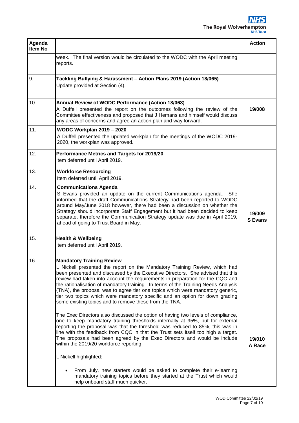| Agenda<br>Item No |                                                                                                                                                                                                                                                                                                                                                                                                                                                                                                                                                                                                                                                                                                                                                                                                                                                                                                                                                                                                                                                                      | <b>Action</b>            |
|-------------------|----------------------------------------------------------------------------------------------------------------------------------------------------------------------------------------------------------------------------------------------------------------------------------------------------------------------------------------------------------------------------------------------------------------------------------------------------------------------------------------------------------------------------------------------------------------------------------------------------------------------------------------------------------------------------------------------------------------------------------------------------------------------------------------------------------------------------------------------------------------------------------------------------------------------------------------------------------------------------------------------------------------------------------------------------------------------|--------------------------|
|                   | week. The final version would be circulated to the WODC with the April meeting<br>reports.                                                                                                                                                                                                                                                                                                                                                                                                                                                                                                                                                                                                                                                                                                                                                                                                                                                                                                                                                                           |                          |
| 9.                | Tackling Bullying & Harassment - Action Plans 2019 (Action 18/065)<br>Update provided at Section (4).                                                                                                                                                                                                                                                                                                                                                                                                                                                                                                                                                                                                                                                                                                                                                                                                                                                                                                                                                                |                          |
| 10.               | Annual Review of WODC Performance (Action 18/068)<br>A Duffell presented the report on the outcomes following the review of the<br>Committee effectiveness and proposed that J Hemans and himself would discuss<br>any areas of concerns and agree an action plan and way forward.                                                                                                                                                                                                                                                                                                                                                                                                                                                                                                                                                                                                                                                                                                                                                                                   | 19/008                   |
| 11.               | <b>WODC Workplan 2019 - 2020</b><br>A Duffell presented the updated workplan for the meetings of the WODC 2019-<br>2020, the workplan was approved.                                                                                                                                                                                                                                                                                                                                                                                                                                                                                                                                                                                                                                                                                                                                                                                                                                                                                                                  |                          |
| 12.               | Performance Metrics and Targets for 2019/20<br>Item deferred until April 2019.                                                                                                                                                                                                                                                                                                                                                                                                                                                                                                                                                                                                                                                                                                                                                                                                                                                                                                                                                                                       |                          |
| 13.               | <b>Workforce Resourcing</b><br>Item deferred until April 2019.                                                                                                                                                                                                                                                                                                                                                                                                                                                                                                                                                                                                                                                                                                                                                                                                                                                                                                                                                                                                       |                          |
| 14.               | <b>Communications Agenda</b><br>S Evans provided an update on the current Communications agenda. She<br>informed that the draft Communications Strategy had been reported to WODC<br>around May/June 2018 however, there had been a discussion on whether the<br>Strategy should incorporate Staff Engagement but it had been decided to keep<br>separate, therefore the Communication Strategy update was due in April 2019,<br>ahead of going to Trust Board in May.                                                                                                                                                                                                                                                                                                                                                                                                                                                                                                                                                                                               | 19/009<br><b>S</b> Evans |
| 15.               | <b>Health &amp; Wellbeing</b><br>Item deferred until April 2019.                                                                                                                                                                                                                                                                                                                                                                                                                                                                                                                                                                                                                                                                                                                                                                                                                                                                                                                                                                                                     |                          |
| 16.               | <b>Mandatory Training Review</b><br>L Nickell presented the report on the Mandatory Training Review, which had<br>been presented and discussed by the Executive Directors. She advised that this<br>review had taken into account the requirements in preparation for the CQC and<br>the rationalisation of mandatory training. In terms of the Training Needs Analysis<br>(TNA), the proposal was to agree tier one topics which were mandatory generic,<br>tier two topics which were mandatory specific and an option for down grading<br>some existing topics and to remove these from the TNA.<br>The Exec Directors also discussed the option of having two levels of compliance,<br>one to keep mandatory training thresholds internally at 95%, but for external<br>reporting the proposal was that the threshold was reduced to 85%, this was in<br>line with the feedback from CQC in that the Trust sets itself too high a target.<br>The proposals had been agreed by the Exec Directors and would be include<br>within the 2019/20 workforce reporting. | 19/010<br>A Race         |
|                   | L Nickell highlighted:<br>From July, new starters would be asked to complete their e-learning<br>mandatory training topics before they started at the Trust which would<br>help onboard staff much quicker.                                                                                                                                                                                                                                                                                                                                                                                                                                                                                                                                                                                                                                                                                                                                                                                                                                                          |                          |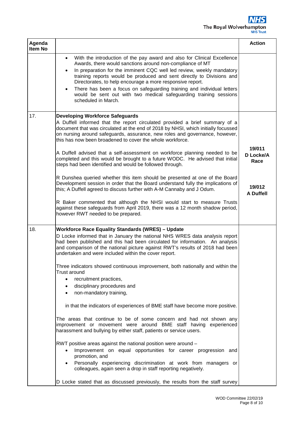

| Agenda<br>Item No |                                                                                                                                                                                                                                                                                                                                                                   | <b>Action</b>               |
|-------------------|-------------------------------------------------------------------------------------------------------------------------------------------------------------------------------------------------------------------------------------------------------------------------------------------------------------------------------------------------------------------|-----------------------------|
|                   | With the introduction of the pay award and also for Clinical Excellence<br>$\bullet$<br>Awards, there would sanctions around non-compliance of MT<br>In preparation for the imminent CQC well led review, weekly mandatory<br>training reports would be produced and sent directly to Divisions and<br>Directorates, to help encourage a more responsive report.  |                             |
|                   | There has been a focus on safeguarding training and individual letters<br>$\bullet$<br>would be sent out with two medical safeguarding training sessions<br>scheduled in March.                                                                                                                                                                                   |                             |
| 17.               | <b>Developing Workforce Safeguards</b><br>A Duffell informed that the report circulated provided a brief summary of a<br>document that was circulated at the end of 2018 by NHSI, which initially focussed<br>on nursing around safeguards, assurance, new roles and governance, however,<br>this has now been broadened to cover the whole workforce.            |                             |
|                   | A Duffell advised that a self-assessment on workforce planning needed to be<br>completed and this would be brought to a future WODC. He advised that initial<br>steps had been identified and would be followed through.                                                                                                                                          | 19/011<br>D Locke/A<br>Race |
|                   | R Dunshea queried whether this item should be presented at one of the Board<br>Development session in order that the Board understand fully the implications of<br>this; A Duffell agreed to discuss further with A-M Cannaby and J Odum.                                                                                                                         | 19/012<br><b>A Duffell</b>  |
|                   | R Baker commented that although the NHSI would start to measure Trusts<br>against these safeguards from April 2019, there was a 12 month shadow period,<br>however RWT needed to be prepared.                                                                                                                                                                     |                             |
| 18.               | <b>Workforce Race Equality Standards (WRES) - Update</b><br>D Locke informed that in January the national NHS WRES data analysis report<br>had been published and this had been circulated for information. An analysis<br>and comparison of the national picture against RWT's results of 2018 had been<br>undertaken and were included within the cover report. |                             |
|                   | Three indicators showed continuous improvement, both nationally and within the<br><b>Trust around</b>                                                                                                                                                                                                                                                             |                             |
|                   | recruitment practices,<br>$\bullet$<br>disciplinary procedures and<br>٠<br>non-mandatory training,<br>$\bullet$                                                                                                                                                                                                                                                   |                             |
|                   | in that the indicators of experiences of BME staff have become more positive.                                                                                                                                                                                                                                                                                     |                             |
|                   | The areas that continue to be of some concern and had not shown any<br>improvement or movement were around BME staff having experienced<br>harassment and bullying by either staff, patients or service users.                                                                                                                                                    |                             |
|                   | RWT positive areas against the national position were around -<br>Improvement on equal opportunities for career progression and<br>promotion, and                                                                                                                                                                                                                 |                             |
|                   | Personally experiencing discrimination at work from managers or<br>colleagues, again seen a drop in staff reporting negatively.                                                                                                                                                                                                                                   |                             |
|                   | D Locke stated that as discussed previously, the results from the staff survey                                                                                                                                                                                                                                                                                    |                             |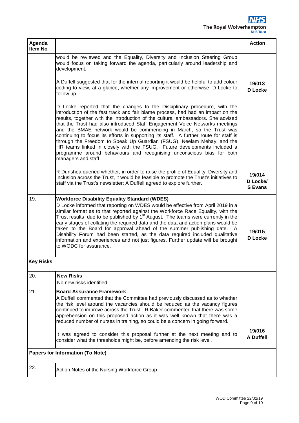## 'S The Royal Wolverhampton

| Agenda<br>Item No |                                                                                                                                                                                                                                                                                                                                                                                                                                                                                                                                                                                                                                                                                                                                                       | <b>Action</b>                        |
|-------------------|-------------------------------------------------------------------------------------------------------------------------------------------------------------------------------------------------------------------------------------------------------------------------------------------------------------------------------------------------------------------------------------------------------------------------------------------------------------------------------------------------------------------------------------------------------------------------------------------------------------------------------------------------------------------------------------------------------------------------------------------------------|--------------------------------------|
|                   | would be reviewed and the Equality, Diversity and Inclusion Steering Group<br>would focus on taking forward the agenda, particularly around leadership and<br>development.                                                                                                                                                                                                                                                                                                                                                                                                                                                                                                                                                                            |                                      |
|                   | A Duffell suggested that for the internal reporting it would be helpful to add colour<br>coding to view, at a glance, whether any improvement or otherwise; D Locke to<br>follow up.                                                                                                                                                                                                                                                                                                                                                                                                                                                                                                                                                                  | 19/013<br><b>D</b> Locke             |
|                   | D Locke reported that the changes to the Disciplinary procedure, with the<br>introduction of the fast track and fair blame process, had had an impact on the<br>results, together with the introduction of the cultural ambassadors. She advised<br>that the Trust had also introduced Staff Engagement Voice Networks meetings<br>and the BMAE network would be commencing in March, so the Trust was<br>continuing to focus its efforts in supporting its staff. A further route for staff is<br>through the Freedom to Speak Up Guardian (FSUG), Neelam Mehay, and the<br>HR teams linked in closely with the FSUG. Future developments included a<br>programme around behaviours and recognising unconscious bias for both<br>managers and staff. |                                      |
|                   | R Dunshea queried whether, in order to raise the profile of Equality, Diversity and<br>Inclusion across the Trust, it would be feasible to promote the Trust's initiatives to<br>staff via the Trust's newsletter; A Duffell agreed to explore further.                                                                                                                                                                                                                                                                                                                                                                                                                                                                                               | 19/014<br>D Locke/<br><b>S</b> Evans |
| 19.               | <b>Workforce Disability Equality Standard (WDES)</b><br>D Locke informed that reporting on WDES would be effective from April 2019 in a<br>similar format as to that reported against the Workforce Race Equality, with the<br>Trust results due to be published by 1 <sup>st</sup> August. The teams were currently in the<br>early stages of collating the required data and the data and action plans would be<br>taken to the Board for approval ahead of the summer publishing date. A<br>Disability Forum had been started, as the data required included qualitative<br>information and experiences and not just figures. Further update will be brought<br>to WODC for assurance.                                                             | 19/015<br><b>D</b> Locke             |
| <b>Key Risks</b>  |                                                                                                                                                                                                                                                                                                                                                                                                                                                                                                                                                                                                                                                                                                                                                       |                                      |
| 20.               | <b>New Risks</b><br>No new risks identified.                                                                                                                                                                                                                                                                                                                                                                                                                                                                                                                                                                                                                                                                                                          |                                      |
| 21.               | <b>Board Assurance Framework</b><br>A Duffell commented that the Committee had previously discussed as to whether<br>the risk level around the vacancies should be reduced as the vacancy figures<br>continued to improve across the Trust. R Baker commented that there was some<br>apprehension on this proposed action as it was well known that there was a<br>reduced number of nurses in training, so could be a concern in going forward.                                                                                                                                                                                                                                                                                                      |                                      |
|                   | It was agreed to consider this proposal further at the next meeting and to<br>consider what the thresholds might be, before amending the risk level.                                                                                                                                                                                                                                                                                                                                                                                                                                                                                                                                                                                                  | 19/016<br><b>A Duffell</b>           |
|                   | <b>Papers for Information (To Note)</b>                                                                                                                                                                                                                                                                                                                                                                                                                                                                                                                                                                                                                                                                                                               |                                      |
| 22.               | Action Notes of the Nursing Workforce Group                                                                                                                                                                                                                                                                                                                                                                                                                                                                                                                                                                                                                                                                                                           |                                      |